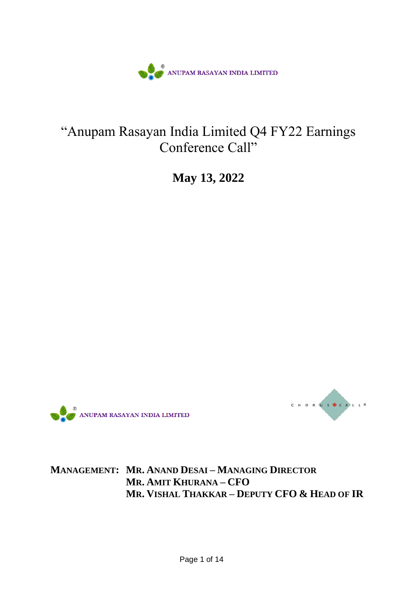

## "Anupam Rasayan India Limited Q4 FY22 Earnings Conference Call"

**May 13, 2022**





**MANAGEMENT: MR. ANAND DESAI – MANAGING DIRECTOR MR. AMIT KHURANA – CFO MR. VISHAL THAKKAR – DEPUTY CFO & HEAD OF IR**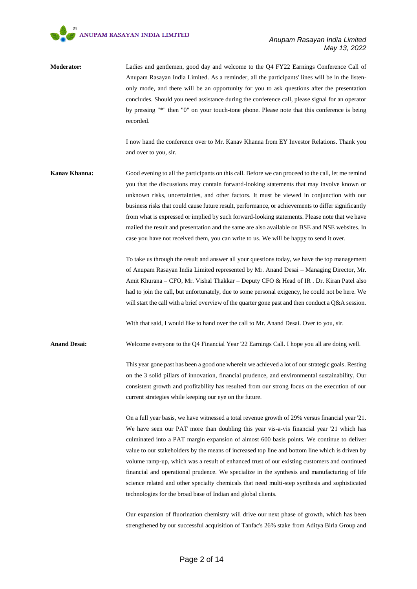

**Moderator:** Ladies and gentlemen, good day and welcome to the Q4 FY22 Earnings Conference Call of Anupam Rasayan India Limited. As a reminder, all the participants' lines will be in the listenonly mode, and there will be an opportunity for you to ask questions after the presentation concludes. Should you need assistance during the conference call, please signal for an operator by pressing "\*" then "0" on your touch-tone phone. Please note that this conference is being recorded.

> I now hand the conference over to Mr. Kanav Khanna from EY Investor Relations. Thank you and over to you, sir.

**Kanav Khanna:** Good evening to all the participants on this call. Before we can proceed to the call, let me remind you that the discussions may contain forward-looking statements that may involve known or unknown risks, uncertainties, and other factors. It must be viewed in conjunction with our business risks that could cause future result, performance, or achievements to differ significantly from what is expressed or implied by such forward-looking statements. Please note that we have mailed the result and presentation and the same are also available on BSE and NSE websites. In case you have not received them, you can write to us. We will be happy to send it over.

> To take us through the result and answer all your questions today, we have the top management of Anupam Rasayan India Limited represented by Mr. Anand Desai – Managing Director, Mr. Amit Khurana – CFO, Mr. Vishal Thakkar – Deputy CFO & Head of IR . Dr. Kiran Patel also had to join the call, but unfortunately, due to some personal exigency, he could not be here. We will start the call with a brief overview of the quarter gone past and then conduct a Q&A session.

With that said, I would like to hand over the call to Mr. Anand Desai. Over to you, sir.

**Anand Desai:** Welcome everyone to the Q4 Financial Year '22 Earnings Call. I hope you all are doing well.

This year gone past has been a good one wherein we achieved a lot of our strategic goals. Resting on the 3 solid pillars of innovation, financial prudence, and environmental sustainability, Our consistent growth and profitability has resulted from our strong focus on the execution of our current strategies while keeping our eye on the future.

On a full year basis, we have witnessed a total revenue growth of 29% versus financial year '21. We have seen our PAT more than doubling this year vis-a-vis financial year '21 which has culminated into a PAT margin expansion of almost 600 basis points. We continue to deliver value to our stakeholders by the means of increased top line and bottom line which is driven by volume ramp-up, which was a result of enhanced trust of our existing customers and continued financial and operational prudence. We specialize in the synthesis and manufacturing of life science related and other specialty chemicals that need multi-step synthesis and sophisticated technologies for the broad base of Indian and global clients.

Our expansion of fluorination chemistry will drive our next phase of growth, which has been strengthened by our successful acquisition of Tanfac's 26% stake from Aditya Birla Group and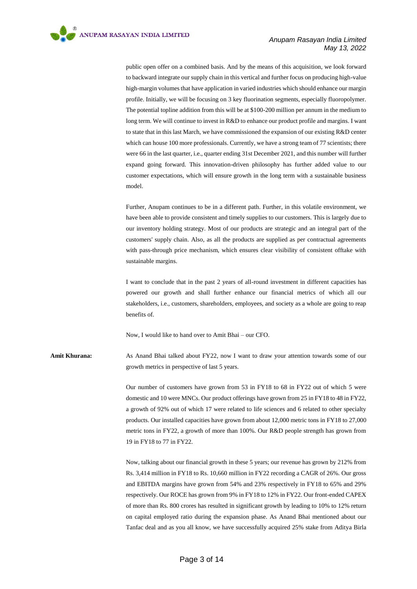public open offer on a combined basis. And by the means of this acquisition, we look forward to backward integrate our supply chain in this vertical and further focus on producing high-value high-margin volumes that have application in varied industries which should enhance our margin profile. Initially, we will be focusing on 3 key fluorination segments, especially fluoropolymer. The potential topline addition from this will be at \$100-200 million per annum in the medium to long term. We will continue to invest in R&D to enhance our product profile and margins. I want to state that in this last March, we have commissioned the expansion of our existing R&D center which can house 100 more professionals. Currently, we have a strong team of 77 scientists; there were 66 in the last quarter, i.e., quarter ending 31st December 2021, and this number will further expand going forward. This innovation-driven philosophy has further added value to our customer expectations, which will ensure growth in the long term with a sustainable business model.

Further, Anupam continues to be in a different path. Further, in this volatile environment, we have been able to provide consistent and timely supplies to our customers. This is largely due to our inventory holding strategy. Most of our products are strategic and an integral part of the customers' supply chain. Also, as all the products are supplied as per contractual agreements with pass-through price mechanism, which ensures clear visibility of consistent offtake with sustainable margins.

I want to conclude that in the past 2 years of all-round investment in different capacities has powered our growth and shall further enhance our financial metrics of which all our stakeholders, i.e., customers, shareholders, employees, and society as a whole are going to reap benefits of.

Now, I would like to hand over to Amit Bhai – our CFO.

**Amit Khurana:** As Anand Bhai talked about FY22, now I want to draw your attention towards some of our growth metrics in perspective of last 5 years.

> Our number of customers have grown from 53 in FY18 to 68 in FY22 out of which 5 were domestic and 10 were MNCs. Our product offerings have grown from 25 in FY18 to 48 in FY22, a growth of 92% out of which 17 were related to life sciences and 6 related to other specialty products. Our installed capacities have grown from about 12,000 metric tons in FY18 to 27,000 metric tons in FY22, a growth of more than 100%. Our R&D people strength has grown from 19 in FY18 to 77 in FY22.

> Now, talking about our financial growth in these 5 years; our revenue has grown by 212% from Rs. 3,414 million in FY18 to Rs. 10,660 million in FY22 recording a CAGR of 26%. Our gross and EBITDA margins have grown from 54% and 23% respectively in FY18 to 65% and 29% respectively. Our ROCE has grown from 9% in FY18 to 12% in FY22. Our front-ended CAPEX of more than Rs. 800 crores has resulted in significant growth by leading to 10% to 12% return on capital employed ratio during the expansion phase. As Anand Bhai mentioned about our Tanfac deal and as you all know, we have successfully acquired 25% stake from Aditya Birla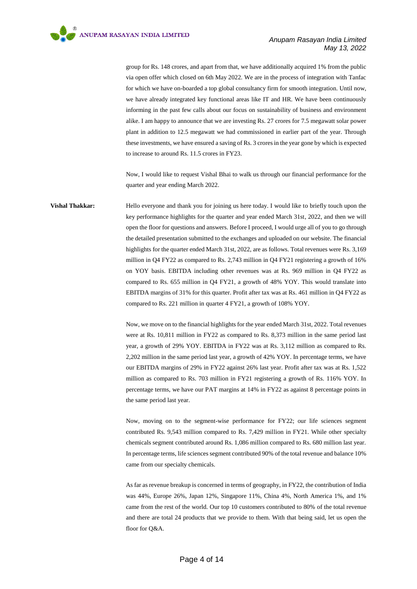group for Rs. 148 crores, and apart from that, we have additionally acquired 1% from the public via open offer which closed on 6th May 2022. We are in the process of integration with Tanfac for which we have on-boarded a top global consultancy firm for smooth integration. Until now, we have already integrated key functional areas like IT and HR. We have been continuously informing in the past few calls about our focus on sustainability of business and environment alike. I am happy to announce that we are investing Rs. 27 crores for 7.5 megawatt solar power plant in addition to 12.5 megawatt we had commissioned in earlier part of the year. Through these investments, we have ensured a saving of Rs. 3 crores in the year gone by which is expected to increase to around Rs. 11.5 crores in FY23.

Now, I would like to request Vishal Bhai to walk us through our financial performance for the quarter and year ending March 2022.

**Vishal Thakkar:** Hello everyone and thank you for joining us here today. I would like to briefly touch upon the key performance highlights for the quarter and year ended March 31st, 2022, and then we will open the floor for questions and answers. Before I proceed, I would urge all of you to go through the detailed presentation submitted to the exchanges and uploaded on our website. The financial highlights for the quarter ended March 31st, 2022, are as follows. Total revenues were Rs. 3,169 million in Q4 FY22 as compared to Rs. 2,743 million in Q4 FY21 registering a growth of 16% on YOY basis. EBITDA including other revenues was at Rs. 969 million in Q4 FY22 as compared to Rs. 655 million in Q4 FY21, a growth of 48% YOY. This would translate into EBITDA margins of 31% for this quarter. Profit after tax was at Rs. 461 million in Q4 FY22 as compared to Rs. 221 million in quarter 4 FY21, a growth of 108% YOY.

> Now, we move on to the financial highlights for the year ended March 31st, 2022. Total revenues were at Rs. 10,811 million in FY22 as compared to Rs. 8,373 million in the same period last year, a growth of 29% YOY. EBITDA in FY22 was at Rs. 3,112 million as compared to Rs. 2,202 million in the same period last year, a growth of 42% YOY. In percentage terms, we have our EBITDA margins of 29% in FY22 against 26% last year. Profit after tax was at Rs. 1,522 million as compared to Rs. 703 million in FY21 registering a growth of Rs. 116% YOY. In percentage terms, we have our PAT margins at 14% in FY22 as against 8 percentage points in the same period last year.

> Now, moving on to the segment-wise performance for FY22; our life sciences segment contributed Rs. 9,543 million compared to Rs. 7,429 million in FY21. While other specialty chemicals segment contributed around Rs. 1,086 million compared to Rs. 680 million last year. In percentage terms, life sciences segment contributed 90% of the total revenue and balance 10% came from our specialty chemicals.

> As far as revenue breakup is concerned in terms of geography, in FY22, the contribution of India was 44%, Europe 26%, Japan 12%, Singapore 11%, China 4%, North America 1%, and 1% came from the rest of the world. Our top 10 customers contributed to 80% of the total revenue and there are total 24 products that we provide to them. With that being said, let us open the floor for Q&A.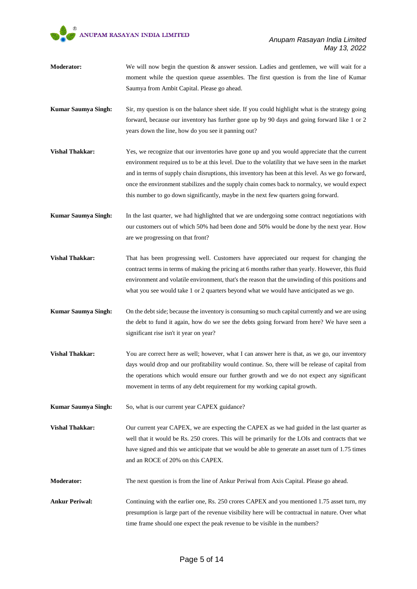

- **Moderator:** We will now begin the question & answer session. Ladies and gentlemen, we will wait for a moment while the question queue assembles. The first question is from the line of Kumar Saumya from Ambit Capital. Please go ahead.
- **Kumar Saumya Singh:** Sir, my question is on the balance sheet side. If you could highlight what is the strategy going forward, because our inventory has further gone up by 90 days and going forward like 1 or 2 years down the line, how do you see it panning out?
- **Vishal Thakkar:** Yes, we recognize that our inventories have gone up and you would appreciate that the current environment required us to be at this level. Due to the volatility that we have seen in the market and in terms of supply chain disruptions, this inventory has been at this level. As we go forward, once the environment stabilizes and the supply chain comes back to normalcy, we would expect this number to go down significantly, maybe in the next few quarters going forward.
- **Kumar Saumya Singh:** In the last quarter, we had highlighted that we are undergoing some contract negotiations with our customers out of which 50% had been done and 50% would be done by the next year. How are we progressing on that front?
- **Vishal Thakkar:** That has been progressing well. Customers have appreciated our request for changing the contract terms in terms of making the pricing at 6 months rather than yearly. However, this fluid environment and volatile environment, that's the reason that the unwinding of this positions and what you see would take 1 or 2 quarters beyond what we would have anticipated as we go.
- **Kumar Saumya Singh:** On the debt side; because the inventory is consuming so much capital currently and we are using the debt to fund it again, how do we see the debts going forward from here? We have seen a significant rise isn't it year on year?
- **Vishal Thakkar:** You are correct here as well; however, what I can answer here is that, as we go, our inventory days would drop and our profitability would continue. So, there will be release of capital from the operations which would ensure our further growth and we do not expect any significant movement in terms of any debt requirement for my working capital growth.
- **Kumar Saumya Singh:** So, what is our current year CAPEX guidance?
- **Vishal Thakkar:** Our current year CAPEX, we are expecting the CAPEX as we had guided in the last quarter as well that it would be Rs. 250 crores. This will be primarily for the LOIs and contracts that we have signed and this we anticipate that we would be able to generate an asset turn of 1.75 times and an ROCE of 20% on this CAPEX.
- **Moderator:** The next question is from the line of Ankur Periwal from Axis Capital. Please go ahead.
- Ankur Periwal: Continuing with the earlier one, Rs. 250 crores CAPEX and you mentioned 1.75 asset turn, my presumption is large part of the revenue visibility here will be contractual in nature. Over what time frame should one expect the peak revenue to be visible in the numbers?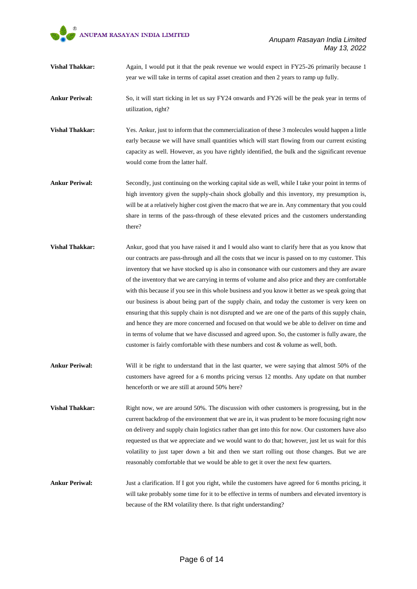

- **Vishal Thakkar:** Again, I would put it that the peak revenue we would expect in FY25-26 primarily because 1 year we will take in terms of capital asset creation and then 2 years to ramp up fully.
- **Ankur Periwal:** So, it will start ticking in let us say FY24 onwards and FY26 will be the peak year in terms of utilization, right?
- **Vishal Thakkar:** Yes. Ankur, just to inform that the commercialization of these 3 molecules would happen a little early because we will have small quantities which will start flowing from our current existing capacity as well. However, as you have rightly identified, the bulk and the significant revenue would come from the latter half.
- **Ankur Periwal:** Secondly, just continuing on the working capital side as well, while I take your point in terms of high inventory given the supply-chain shock globally and this inventory, my presumption is, will be at a relatively higher cost given the macro that we are in. Any commentary that you could share in terms of the pass-through of these elevated prices and the customers understanding there?
- **Vishal Thakkar:** Ankur, good that you have raised it and I would also want to clarify here that as you know that our contracts are pass-through and all the costs that we incur is passed on to my customer. This inventory that we have stocked up is also in consonance with our customers and they are aware of the inventory that we are carrying in terms of volume and also price and they are comfortable with this because if you see in this whole business and you know it better as we speak going that our business is about being part of the supply chain, and today the customer is very keen on ensuring that this supply chain is not disrupted and we are one of the parts of this supply chain, and hence they are more concerned and focused on that would we be able to deliver on time and in terms of volume that we have discussed and agreed upon. So, the customer is fully aware, the customer is fairly comfortable with these numbers and cost & volume as well, both.
- **Ankur Periwal:** Will it be right to understand that in the last quarter, we were saying that almost 50% of the customers have agreed for a 6 months pricing versus 12 months. Any update on that number henceforth or we are still at around 50% here?
- **Vishal Thakkar:** Right now, we are around 50%. The discussion with other customers is progressing, but in the current backdrop of the environment that we are in, it was prudent to be more focusing right now on delivery and supply chain logistics rather than get into this for now. Our customers have also requested us that we appreciate and we would want to do that; however, just let us wait for this volatility to just taper down a bit and then we start rolling out those changes. But we are reasonably comfortable that we would be able to get it over the next few quarters.
- **Ankur Periwal:** Just a clarification. If I got you right, while the customers have agreed for 6 months pricing, it will take probably some time for it to be effective in terms of numbers and elevated inventory is because of the RM volatility there. Is that right understanding?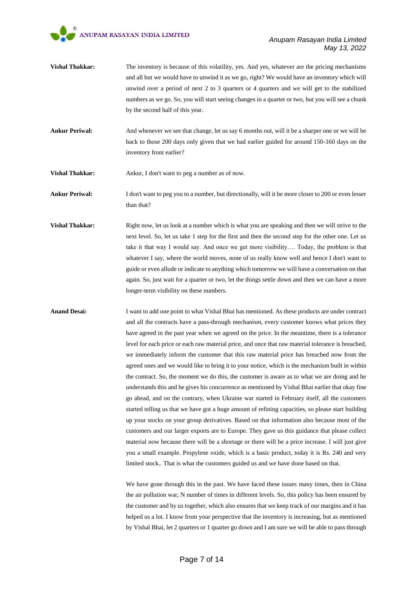- **Vishal Thakkar:** The inventory is because of this volatility, yes. And yes, whatever are the pricing mechanisms and all but we would have to unwind it as we go, right? We would have an inventory which will unwind over a period of next 2 to 3 quarters or 4 quarters and we will get to the stabilized numbers as we go. So, you will start seeing changes in a quarter or two, but you will see a chunk by the second half of this year.
- **Ankur Periwal:** And whenever we see that change, let us say 6 months out, will it be a sharper one or we will be back to those 200 days only given that we had earlier guided for around 150-160 days on the inventory front earlier?
- **Vishal Thakkar:** Ankur, I don't want to peg a number as of now.

**Ankur Periwal:** I don't want to peg you to a number, but directionally, will it be more closer to 200 or even lesser than that?

**Vishal Thakkar:** Right now, let us look at a number which is what you are speaking and then we will strive to the next level. So, let us take 1 step for the first and then the second step for the other one. Let us take it that way I would say. And once we get more visibility…. Today, the problem is that whatever I say, where the world moves, none of us really know well and hence I don't want to guide or even allude or indicate to anything which tomorrow we will have a conversation on that again. So, just wait for a quarter or two, let the things settle down and then we can have a more longer-term visibility on these numbers.

**Anand Desai:** I want to add one point to what Vishal Bhai has mentioned. As these products are under contract and all the contracts have a pass-through mechanism, every customer knows what prices they have agreed in the past year when we agreed on the price. In the meantime, there is a tolerance level for each price or each raw material price, and once that raw material tolerance is breached, we immediately inform the customer that this raw material price has breached now from the agreed ones and we would like to bring it to your notice, which is the mechanism built in within the contract. So, the moment we do this, the customer is aware as to what we are doing and he understands this and he gives his concurrence as mentioned by Vishal Bhai earlier that okay fine go ahead, and on the contrary, when Ukraine war started in February itself, all the customers started telling us that we have got a huge amount of refining capacities, so please start building up your stocks on your group derivatives. Based on that information also because most of the customers and our larger exports are to Europe. They gave us this guidance that please collect material now because there will be a shortage or there will be a price increase. I will just give you a small example. Propylene oxide, which is a basic product, today it is Rs. 240 and very limited stock.. That is what the customers guided us and we have done based on that.

> We have gone through this in the past. We have faced these issues many times, then in China the air pollution war, N number of times in different levels. So, this policy has been ensured by the customer and by us together, which also ensures that we keep track of our margins and it has helped us a lot. I know from your perspective that the inventory is increasing, but as mentioned by Vishal Bhai, let 2 quarters or 1 quarter go down and I am sure we will be able to pass through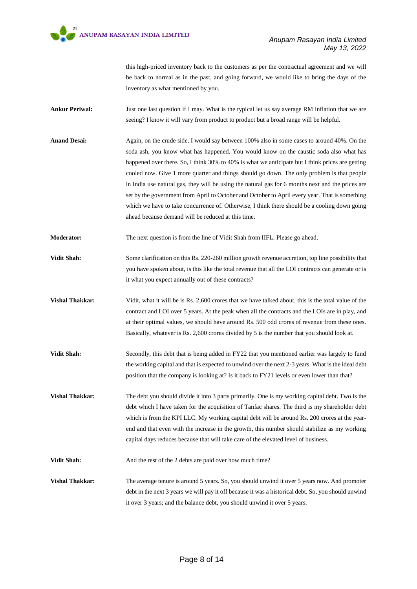

this high-priced inventory back to the customers as per the contractual agreement and we will be back to normal as in the past, and going forward, we would like to bring the days of the inventory as what mentioned by you.

- **Ankur Periwal:** Just one last question if I may. What is the typical let us say average RM inflation that we are seeing? I know it will vary from product to product but a broad range will be helpful.
- **Anand Desai:** Again, on the crude side, I would say between 100% also in some cases to around 40%. On the soda ash, you know what has happened. You would know on the caustic soda also what has happened over there. So, I think 30% to 40% is what we anticipate but I think prices are getting cooled now. Give 1 more quarter and things should go down. The only problem is that people in India use natural gas, they will be using the natural gas for 6 months next and the prices are set by the government from April to October and October to April every year. That is something which we have to take concurrence of. Otherwise, I think there should be a cooling down going ahead because demand will be reduced at this time.
- **Moderator:** The next question is from the line of Vidit Shah from IIFL. Please go ahead.
- **Vidit Shah:** Some clarification on this Rs. 220-260 million growth revenue accretion, top line possibility that you have spoken about, is this like the total revenue that all the LOI contracts can generate or is it what you expect annually out of these contracts?
- **Vidit, what it will be is Rs. 2,600 crores that we have talked about, this is the total value of the value of the** contract and LOI over 5 years. At the peak when all the contracts and the LOIs are in play, and at their optimal values, we should have around Rs. 500 odd crores of revenue from these ones. Basically, whatever is Rs. 2,600 crores divided by 5 is the number that you should look at.
- **Vidit Shah:** Secondly, this debt that is being added in FY22 that you mentioned earlier was largely to fund the working capital and that is expected to unwind over the next 2-3 years. What is the ideal debt position that the company is looking at? Is it back to FY21 levels or even lower than that?
- **Vishal Thakkar:** The debt you should divide it into 3 parts primarily. One is my working capital debt. Two is the debt which I have taken for the acquisition of Tanfac shares. The third is my shareholder debt which is from the KPI LLC. My working capital debt will be around Rs. 200 crores at the yearend and that even with the increase in the growth, this number should stabilize as my working capital days reduces because that will take care of the elevated level of business.

**Vidit Shah:** And the rest of the 2 debts are paid over how much time?

**Vishal Thakkar:** The average tenure is around 5 years. So, you should unwind it over 5 years now. And promoter debt in the next 3 years we will pay it off because it was a historical debt. So, you should unwind it over 3 years; and the balance debt, you should unwind it over 5 years.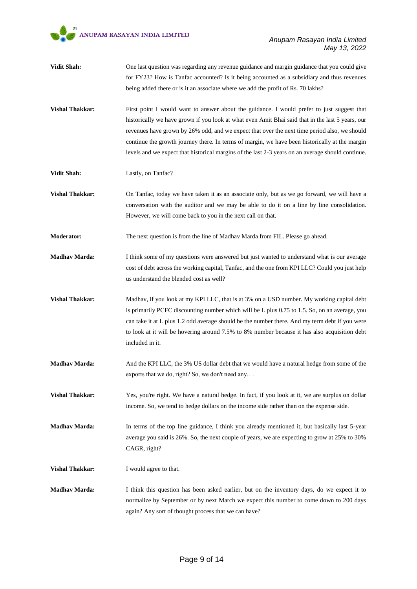

- **Vidit Shah:** One last question was regarding any revenue guidance and margin guidance that you could give for FY23? How is Tanfac accounted? Is it being accounted as a subsidiary and thus revenues being added there or is it an associate where we add the profit of Rs. 70 lakhs?
- **Vishal Thakkar:** First point I would want to answer about the guidance. I would prefer to just suggest that historically we have grown if you look at what even Amit Bhai said that in the last 5 years, our revenues have grown by 26% odd, and we expect that over the next time period also, we should continue the growth journey there. In terms of margin, we have been historically at the margin levels and we expect that historical margins of the last 2-3 years on an average should continue.
- **Vidit Shah:** Lastly, on Tanfac?
- **Vishal Thakkar:** On Tanfac, today we have taken it as an associate only, but as we go forward, we will have a conversation with the auditor and we may be able to do it on a line by line consolidation. However, we will come back to you in the next call on that.
- **Moderator:** The next question is from the line of Madhav Marda from FIL. Please go ahead.
- **Madhav Marda:** I think some of my questions were answered but just wanted to understand what is our average cost of debt across the working capital, Tanfac, and the one from KPI LLC? Could you just help us understand the blended cost as well?
- Vishal Thakkar: Madhav, if you look at my KPI LLC, that is at 3% on a USD number. My working capital debt is primarily PCFC discounting number which will be L plus 0.75 to 1.5. So, on an average, you can take it at L plus 1.2 odd average should be the number there. And my term debt if you were to look at it will be hovering around 7.5% to 8% number because it has also acquisition debt included in it.
- **Madhav Marda:** And the KPI LLC, the 3% US dollar debt that we would have a natural hedge from some of the exports that we do, right? So, we don't need any….
- **Vishal Thakkar:** Yes, you're right. We have a natural hedge. In fact, if you look at it, we are surplus on dollar income. So, we tend to hedge dollars on the income side rather than on the expense side.
- **Madhav Marda:** In terms of the top line guidance, I think you already mentioned it, but basically last 5-year average you said is 26%. So, the next couple of years, we are expecting to grow at 25% to 30% CAGR, right?
- **Vishal Thakkar:** I would agree to that.
- **Madhav Marda:** I think this question has been asked earlier, but on the inventory days, do we expect it to normalize by September or by next March we expect this number to come down to 200 days again? Any sort of thought process that we can have?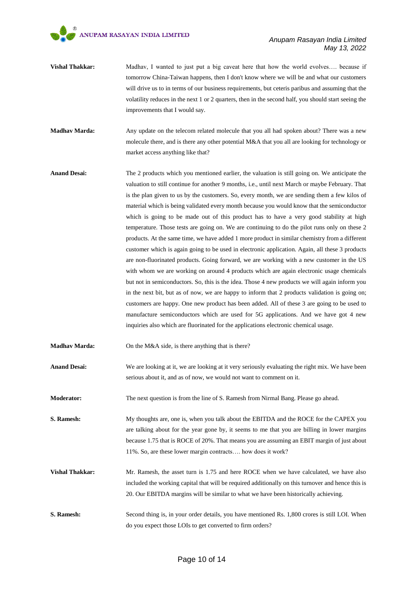- **Vishal Thakkar:** Madhav, I wanted to just put a big caveat here that how the world evolves.... because if tomorrow China-Taiwan happens, then I don't know where we will be and what our customers will drive us to in terms of our business requirements, but ceteris paribus and assuming that the volatility reduces in the next 1 or 2 quarters, then in the second half, you should start seeing the improvements that I would say.
- **Madhav Marda:** Any update on the telecom related molecule that you all had spoken about? There was a new molecule there, and is there any other potential M&A that you all are looking for technology or market access anything like that?
- **Anand Desai:** The 2 products which you mentioned earlier, the valuation is still going on. We anticipate the valuation to still continue for another 9 months, i.e., until next March or maybe February. That is the plan given to us by the customers. So, every month, we are sending them a few kilos of material which is being validated every month because you would know that the semiconductor which is going to be made out of this product has to have a very good stability at high temperature. Those tests are going on. We are continuing to do the pilot runs only on these 2 products. At the same time, we have added 1 more product in similar chemistry from a different customer which is again going to be used in electronic application. Again, all these 3 products are non-fluorinated products. Going forward, we are working with a new customer in the US with whom we are working on around 4 products which are again electronic usage chemicals but not in semiconductors. So, this is the idea. Those 4 new products we will again inform you in the next bit, but as of now, we are happy to inform that 2 products validation is going on; customers are happy. One new product has been added. All of these 3 are going to be used to manufacture semiconductors which are used for 5G applications. And we have got 4 new inquiries also which are fluorinated for the applications electronic chemical usage.

**Madhav Marda:** On the M&A side, is there anything that is there?

**Anand Desai:** We are looking at it, we are looking at it very seriously evaluating the right mix. We have been serious about it, and as of now, we would not want to comment on it.

**Moderator:** The next question is from the line of S. Ramesh from Nirmal Bang. Please go ahead.

**S. Ramesh:** My thoughts are, one is, when you talk about the EBITDA and the ROCE for the CAPEX you are talking about for the year gone by, it seems to me that you are billing in lower margins because 1.75 that is ROCE of 20%. That means you are assuming an EBIT margin of just about 11%. So, are these lower margin contracts…. how does it work?

- **Vishal Thakkar:** Mr. Ramesh, the asset turn is 1.75 and here ROCE when we have calculated, we have also included the working capital that will be required additionally on this turnover and hence this is 20. Our EBITDA margins will be similar to what we have been historically achieving.
- **S. Ramesh:** Second thing is, in your order details, you have mentioned Rs. 1,800 crores is still LOI. When do you expect those LOIs to get converted to firm orders?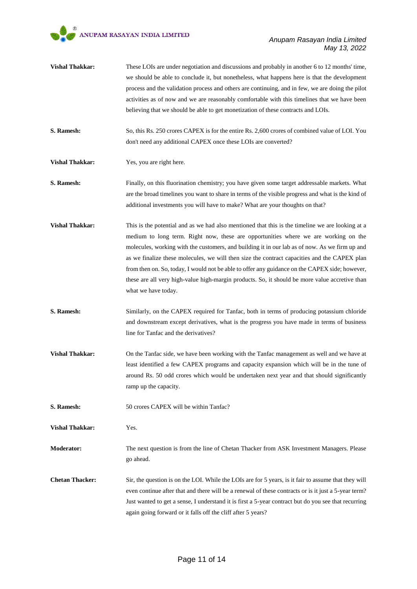- **Vishal Thakkar:** These LOIs are under negotiation and discussions and probably in another 6 to 12 months' time. we should be able to conclude it, but nonetheless, what happens here is that the development process and the validation process and others are continuing, and in few, we are doing the pilot activities as of now and we are reasonably comfortable with this timelines that we have been believing that we should be able to get monetization of these contracts and LOIs.
- **S. Ramesh:** So, this Rs. 250 crores CAPEX is for the entire Rs. 2,600 crores of combined value of LOI. You don't need any additional CAPEX once these LOIs are converted?
- **Vishal Thakkar:** Yes, you are right here.
- **S. Ramesh:** Finally, on this fluorination chemistry; you have given some target addressable markets. What are the broad timelines you want to share in terms of the visible progress and what is the kind of additional investments you will have to make? What are your thoughts on that?
- **Vishal Thakkar:** This is the potential and as we had also mentioned that this is the timeline we are looking at a medium to long term. Right now, these are opportunities where we are working on the molecules, working with the customers, and building it in our lab as of now. As we firm up and as we finalize these molecules, we will then size the contract capacities and the CAPEX plan from then on. So, today, I would not be able to offer any guidance on the CAPEX side; however, these are all very high-value high-margin products. So, it should be more value accretive than what we have today.
- **S. Ramesh:** Similarly, on the CAPEX required for Tanfac, both in terms of producing potassium chloride and downstream except derivatives, what is the progress you have made in terms of business line for Tanfac and the derivatives?
- **Vishal Thakkar:** On the Tanfac side, we have been working with the Tanfac management as well and we have at least identified a few CAPEX programs and capacity expansion which will be in the tune of around Rs. 50 odd crores which would be undertaken next year and that should significantly ramp up the capacity.
- **S. Ramesh:** 50 crores CAPEX will be within Tanfac?

**Vishal Thakkar:** Yes.

- **Moderator:** The next question is from the line of Chetan Thacker from ASK Investment Managers. Please go ahead.
- **Chetan Thacker:** Sir, the question is on the LOI. While the LOIs are for 5 years, is it fair to assume that they will even continue after that and there will be a renewal of these contracts or is it just a 5-year term? Just wanted to get a sense, I understand it is first a 5-year contract but do you see that recurring again going forward or it falls off the cliff after 5 years?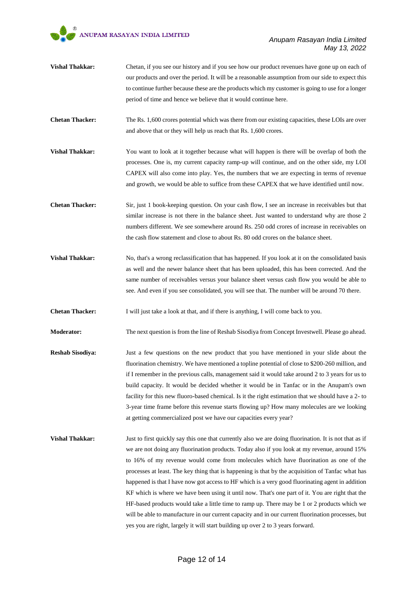- **Vishal Thakkar:** Chetan, if you see our history and if you see how our product revenues have gone up on each of our products and over the period. It will be a reasonable assumption from our side to expect this to continue further because these are the products which my customer is going to use for a longer period of time and hence we believe that it would continue here.
- **Chetan Thacker:** The Rs. 1,600 crores potential which was there from our existing capacities, these LOIs are over and above that or they will help us reach that Rs. 1,600 crores.
- **Vishal Thakkar:** You want to look at it together because what will happen is there will be overlap of both the processes. One is, my current capacity ramp-up will continue, and on the other side, my LOI CAPEX will also come into play. Yes, the numbers that we are expecting in terms of revenue and growth, we would be able to suffice from these CAPEX that we have identified until now.
- **Chetan Thacker:** Sir, just 1 book-keeping question. On your cash flow, I see an increase in receivables but that similar increase is not there in the balance sheet. Just wanted to understand why are those 2 numbers different. We see somewhere around Rs. 250 odd crores of increase in receivables on the cash flow statement and close to about Rs. 80 odd crores on the balance sheet.
- Vishal Thakkar: No, that's a wrong reclassification that has happened. If you look at it on the consolidated basis as well and the newer balance sheet that has been uploaded, this has been corrected. And the same number of receivables versus your balance sheet versus cash flow you would be able to see. And even if you see consolidated, you will see that. The number will be around 70 there.
- **Chetan Thacker:** I will just take a look at that, and if there is anything, I will come back to you.
- **Moderator:** The next question is from the line of Reshab Sisodiya from Concept Investwell. Please go ahead.
- **Reshab Sisodiya:** Just a few questions on the new product that you have mentioned in your slide about the fluorination chemistry. We have mentioned a topline potential of close to \$200-260 million, and if I remember in the previous calls, management said it would take around 2 to 3 years for us to build capacity. It would be decided whether it would be in Tanfac or in the Anupam's own facility for this new fluoro-based chemical. Is it the right estimation that we should have a 2- to 3-year time frame before this revenue starts flowing up? How many molecules are we looking at getting commercialized post we have our capacities every year?
- **Vishal Thakkar:** Just to first quickly say this one that currently also we are doing fluorination. It is not that as if we are not doing any fluorination products. Today also if you look at my revenue, around 15% to 16% of my revenue would come from molecules which have fluorination as one of the processes at least. The key thing that is happening is that by the acquisition of Tanfac what has happened is that I have now got access to HF which is a very good fluorinating agent in addition KF which is where we have been using it until now. That's one part of it. You are right that the HF-based products would take a little time to ramp up. There may be 1 or 2 products which we will be able to manufacture in our current capacity and in our current fluorination processes, but yes you are right, largely it will start building up over 2 to 3 years forward.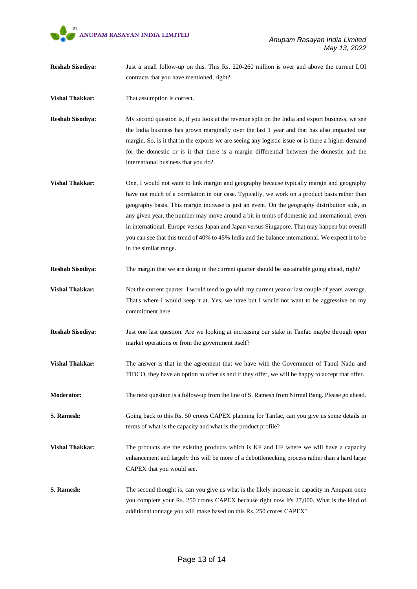

- **Reshab Sisodiya:** Just a small follow-up on this. This Rs. 220-260 million is over and above the current LOI contracts that you have mentioned, right?
- **Vishal Thakkar:** That assumption is correct.
- **Reshab Sisodiya:** My second question is, if you look at the revenue split on the India and export business, we see the India business has grown marginally over the last 1 year and that has also impacted our margin. So, is it that in the exports we are seeing any logistic issue or is there a higher demand for the domestic or is it that there is a margin differential between the domestic and the international business that you do?
- **Vishal Thakkar:** One, I would not want to link margin and geography because typically margin and geography have not much of a correlation in our case. Typically, we work on a product basis rather than geography basis. This margin increase is just an event. On the geography distribution side, in any given year, the number may move around a bit in terms of domestic and international; even in international, Europe versus Japan and Japan versus Singapore. That may happen but overall you can see that this trend of 40% to 45% India and the balance international. We expect it to be in the similar range.
- **Reshab Sisodiya:** The margin that we are doing in the current quarter should be sustainable going ahead, right?
- **Vishal Thakkar:** Not the current quarter. I would tend to go with my current year or last couple of years' average. That's where I would keep it at. Yes, we have but I would not want to be aggressive on my commitment here.
- **Reshab Sisodiya:** Just one last question. Are we looking at increasing our stake in Tanfac maybe through open market operations or from the government itself?
- **Vishal Thakkar:** The answer is that in the agreement that we have with the Government of Tamil Nadu and TIDCO, they have an option to offer us and if they offer, we will be happy to accept that offer.
- **Moderator:** The next question is a follow-up from the line of S. Ramesh from Nirmal Bang. Please go ahead.
- **S. Ramesh:** Going back to this Rs. 50 crores CAPEX planning for Tanfac, can you give us some details in terms of what is the capacity and what is the product profile?
- **Vishal Thakkar:** The products are the existing products which is KF and HF where we will have a capacity enhancement and largely this will be more of a debottlenecking process rather than a hard large CAPEX that you would see.
- **S. Ramesh:** The second thought is, can you give us what is the likely increase in capacity in Anupam once you complete your Rs. 250 crores CAPEX because right now it's 27,000. What is the kind of additional tonnage you will make based on this Rs. 250 crores CAPEX?